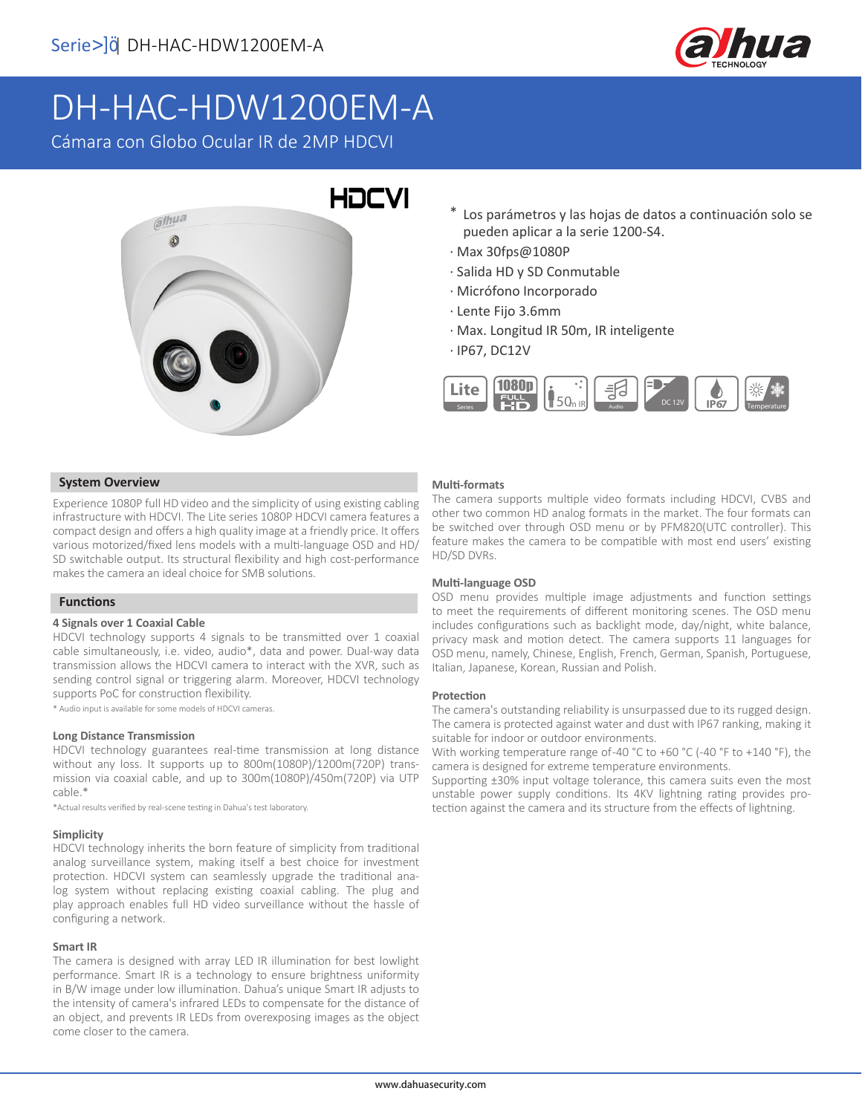

# DH-HAC-HDW1200EM-A

Cámara con Globo Ocular IR de 2MP HDCVI



- \* Los parámetros y las hojas de datos a continuación solo se pueden aplicar a la serie 1200-S4.
- · Max 30fps@1080P
- · Salida HD y SD Conmutable
- · Micrófono Incorporado
- · Lente Fijo 3.6mm
- · Max. Longitud IR 50m, IR inteligente
- · IP67, DC12V



#### **System Overview**

Experience 1080P full HD video and the simplicity of using existing cabling infrastructure with HDCVI. The Lite series 1080P HDCVI camera features a compact design and offers a high quality image at a friendly price. It offers various motorized/fixed lens models with a multi-language OSD and HD/ SD switchable output. Its structural flexibility and high cost-performance makes the camera an ideal choice for SMB solutions.

#### **Functions**

#### **4 Signals over 1 Coaxial Cable**

HDCVI technology supports 4 signals to be transmitted over 1 coaxial cable simultaneously, i.e. video, audio\*, data and power. Dual-way data transmission allows the HDCVI camera to interact with the XVR, such as sending control signal or triggering alarm. Moreover, HDCVI technology supports PoC for construction flexibility.

\* Audio input is available for some models of HDCVI cameras.

#### **Long Distance Transmission**

HDCVI technology guarantees real-time transmission at long distance without any loss. It supports up to 800m(1080P)/1200m(720P) transmission via coaxial cable, and up to 300m(1080P)/450m(720P) via UTP cable.\*

\*Actual results verified by real-scene testing in Dahua's test laboratory.

#### **Simplicity**

HDCVI technology inherits the born feature of simplicity from traditional analog surveillance system, making itself a best choice for investment protection. HDCVI system can seamlessly upgrade the traditional analog system without replacing existing coaxial cabling. The plug and play approach enables full HD video surveillance without the hassle of configuring a network.

#### **Smart IR**

The camera is designed with array LED IR illumination for best lowlight performance. Smart IR is a technology to ensure brightness uniformity in B/W image under low illumination. Dahua's unique Smart IR adjusts to the intensity of camera's infrared LEDs to compensate for the distance of an object, and prevents IR LEDs from overexposing images as the object come closer to the camera.

#### **Multi-formats**

The camera supports multiple video formats including HDCVI, CVBS and other two common HD analog formats in the market. The four formats can be switched over through OSD menu or by PFM820(UTC controller). This feature makes the camera to be compatible with most end users' existing HD/SD DVRs.

#### **Multi-language OSD**

OSD menu provides multiple image adjustments and function settings to meet the requirements of different monitoring scenes. The OSD menu includes configurations such as backlight mode, day/night, white balance, privacy mask and motion detect. The camera supports 11 languages for OSD menu, namely, Chinese, English, French, German, Spanish, Portuguese, Italian, Japanese, Korean, Russian and Polish.

#### **Protection**

The camera's outstanding reliability is unsurpassed due to its rugged design. The camera is protected against water and dust with IP67 ranking, making it suitable for indoor or outdoor environments.

With working temperature range of-40 °C to +60 °C (-40 °F to +140 °F), the camera is designed for extreme temperature environments.

Supporting ±30% input voltage tolerance, this camera suits even the most unstable power supply conditions. Its 4KV lightning rating provides protection against the camera and its structure from the effects of lightning.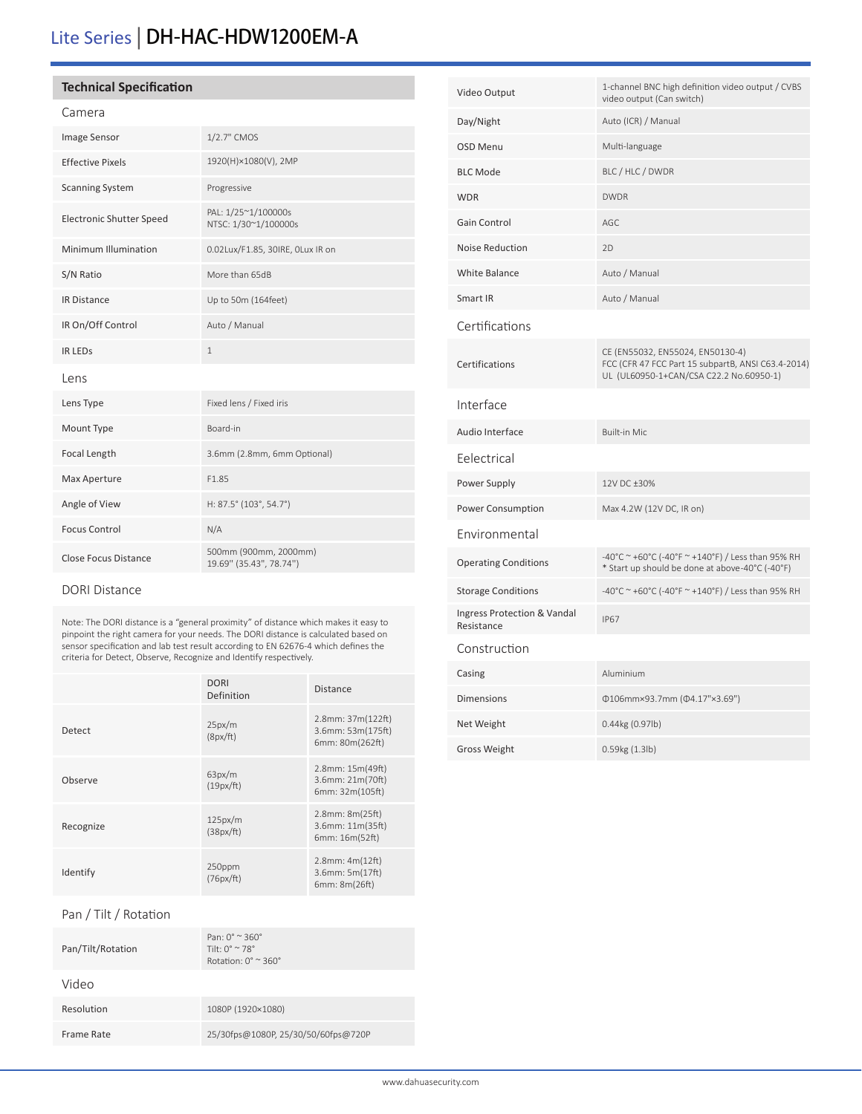## Lite Series | DH-HAC-HDW1200EM-A

#### **Technical Specification**

#### Camera

| Image Sensor                    | 1/2.7" CMOS                                      |  |  |  |
|---------------------------------|--------------------------------------------------|--|--|--|
| <b>Effective Pixels</b>         | 1920(H)×1080(V), 2MP                             |  |  |  |
| <b>Scanning System</b>          | Progressive                                      |  |  |  |
| <b>Electronic Shutter Speed</b> | PAL: 1/25~1/100000s<br>NTSC: 1/30~1/100000s      |  |  |  |
| Minimum Illumination            | 0.02Lux/F1.85, 30IRE, OLux IR on                 |  |  |  |
| S/N Ratio                       | More than 65dB                                   |  |  |  |
| <b>IR Distance</b>              | Up to 50m (164feet)                              |  |  |  |
| IR On/Off Control               | Auto / Manual                                    |  |  |  |
| <b>IR LEDS</b>                  | $\mathbf{1}$                                     |  |  |  |
| Lens                            |                                                  |  |  |  |
| Lens Type                       | Fixed lens / Fixed iris                          |  |  |  |
| Mount Type                      | Board-in                                         |  |  |  |
| Focal Length                    | 3.6mm (2.8mm, 6mm Optional)                      |  |  |  |
| Max Aperture                    | F1.85                                            |  |  |  |
| Angle of View                   | H: 87.5° (103°, 54.7°)                           |  |  |  |
| <b>Focus Control</b>            | N/A                                              |  |  |  |
| <b>Close Focus Distance</b>     | 500mm (900mm, 2000mm)<br>19.69" (35.43", 78.74") |  |  |  |

#### DORI Distance

Note: The DORI distance is a "general proximity" of distance which makes it easy to pinpoint the right camera for your needs. The DORI distance is calculated based on sensor specification and lab test result according to EN 62676-4 which defines the criteria for Detect, Observe, Recognize and Identify respectively.

|           | <b>DORI</b><br>Definition | <b>Distance</b>                                                |
|-----------|---------------------------|----------------------------------------------------------------|
| Detect    | 25px/m<br>(8px/ft)        | $2.8$ mm: $37m(122ft)$<br>3.6mm: 53m(175ft)<br>6mm: 80m(262ft) |
| Observe   | 63px/m<br>(19px/ft)       | $2.8$ mm: $15m(49ft)$<br>3.6mm: 21m(70ft)<br>6mm: 32m(105ft)   |
| Recognize | 125px/m<br>(38px/ft)      | 2.8mm: 8m(25ft)<br>3.6mm: 11m(35ft)<br>6mm: 16m(52ft)          |
| Identify  | 250ppm<br>(76px/ft)       | $2.8$ mm: $4m(12ft)$<br>3.6mm: 5m(17ft)<br>6mm: 8m(26ft)       |

#### Pan / Tilt / Rotation

| Pan/Tilt/Rotation | Pan: $0^\circ$ $\approx$ 360 $^\circ$<br>Tilt: $0^{\circ} \approx 78^{\circ}$<br>Rotation: $0^\circ \approx 360^\circ$ |
|-------------------|------------------------------------------------------------------------------------------------------------------------|
| Video             |                                                                                                                        |
| Resolution        | 1080P (1920×1080)                                                                                                      |
| Frame Rate        | 25/30fps@1080P, 25/30/50/60fps@720P                                                                                    |
|                   |                                                                                                                        |

| Video Output                              | 1-channel BNC high definition video output / CVBS<br>video output (Can switch)                                                    |  |
|-------------------------------------------|-----------------------------------------------------------------------------------------------------------------------------------|--|
| Day/Night                                 | Auto (ICR) / Manual                                                                                                               |  |
| <b>OSD Menu</b>                           | Multi-language                                                                                                                    |  |
| <b>BLC Mode</b>                           | BLC / HLC / DWDR                                                                                                                  |  |
| <b>WDR</b>                                | <b>DWDR</b>                                                                                                                       |  |
| Gain Control                              | AGC                                                                                                                               |  |
| <b>Noise Reduction</b>                    | 2D                                                                                                                                |  |
| <b>White Balance</b>                      | Auto / Manual                                                                                                                     |  |
| Smart IR                                  | Auto / Manual                                                                                                                     |  |
| Certifications                            |                                                                                                                                   |  |
| Certifications                            | CE (EN55032, EN55024, EN50130-4)<br>FCC (CFR 47 FCC Part 15 subpartB, ANSI C63.4-2014)<br>UL (UL60950-1+CAN/CSA C22.2 No.60950-1) |  |
| Interface                                 |                                                                                                                                   |  |
| Audio Interface                           | <b>Built-in Mic</b>                                                                                                               |  |
| Felectrical                               |                                                                                                                                   |  |
| Power Supply                              | 12V DC ±30%                                                                                                                       |  |
| Power Consumption                         | Max 4.2W (12V DC, IR on)                                                                                                          |  |
| Environmental                             |                                                                                                                                   |  |
| <b>Operating Conditions</b>               | -40°C ~ +60°C (-40°F ~ +140°F) / Less than 95% RH<br>* Start up should be done at above-40°C (-40°F)                              |  |
| <b>Storage Conditions</b>                 | -40°C ~ +60°C (-40°F ~ +140°F) / Less than 95% RH                                                                                 |  |
| Ingress Protection & Vandal<br>Resistance | <b>IP67</b>                                                                                                                       |  |
| Construction                              |                                                                                                                                   |  |
| Casing                                    | Aluminium                                                                                                                         |  |
| <b>Dimensions</b>                         | Φ106mm×93.7mm (Φ4.17"×3.69")                                                                                                      |  |
| Net Weight                                | 0.44kg (0.97lb)                                                                                                                   |  |
| <b>Gross Weight</b>                       | 0.59kg (1.3lb)                                                                                                                    |  |